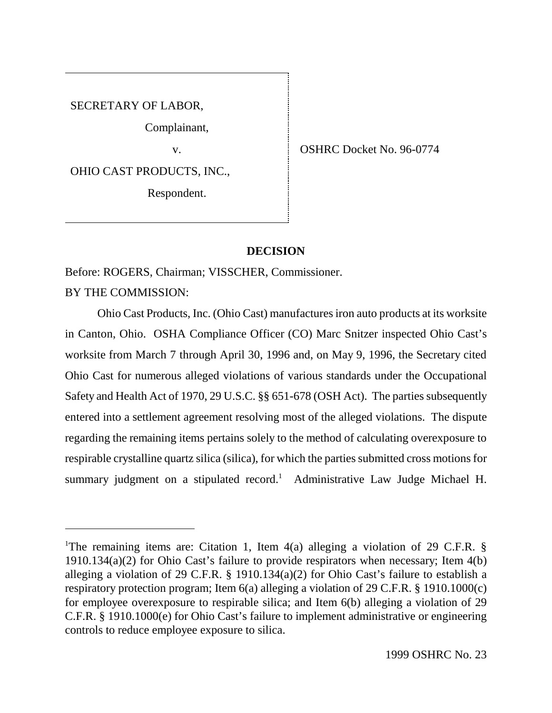SECRETARY OF LABOR,

Complainant,

OHIO CAST PRODUCTS, INC.,

Respondent.

v. SHRC Docket No. 96-0774

### **DECISION**

Before: ROGERS, Chairman; VISSCHER, Commissioner.

BY THE COMMISSION:

Ohio Cast Products, Inc. (Ohio Cast) manufactures iron auto products at its worksite in Canton, Ohio. OSHA Compliance Officer (CO) Marc Snitzer inspected Ohio Cast's worksite from March 7 through April 30, 1996 and, on May 9, 1996, the Secretary cited Ohio Cast for numerous alleged violations of various standards under the Occupational Safety and Health Act of 1970, 29 U.S.C. §§ 651-678 (OSH Act). The parties subsequently entered into a settlement agreement resolving most of the alleged violations. The dispute regarding the remaining items pertains solely to the method of calculating overexposure to respirable crystalline quartz silica (silica), for which the parties submitted cross motions for summary judgment on a stipulated record.<sup>1</sup> Administrative Law Judge Michael H.

<sup>&</sup>lt;sup>1</sup>The remaining items are: Citation 1, Item 4(a) alleging a violation of 29 C.F.R. § 1910.134(a)(2) for Ohio Cast's failure to provide respirators when necessary; Item  $4(b)$ alleging a violation of 29 C.F.R. § 1910.134(a)(2) for Ohio Cast's failure to establish a respiratory protection program; Item 6(a) alleging a violation of 29 C.F.R. § 1910.1000(c) for employee overexposure to respirable silica; and Item 6(b) alleging a violation of 29 C.F.R. § 1910.1000(e) for Ohio Cast's failure to implement administrative or engineering controls to reduce employee exposure to silica.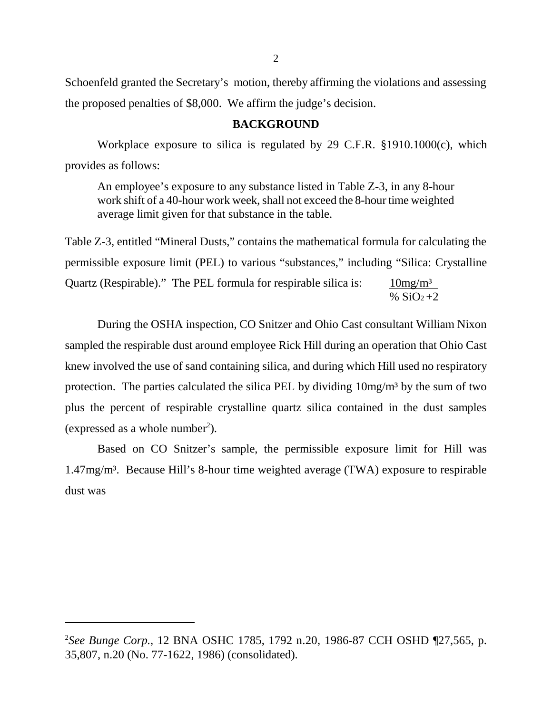Schoenfeld granted the Secretary's motion, thereby affirming the violations and assessing the proposed penalties of \$8,000. We affirm the judge's decision.

### **BACKGROUND**

Workplace exposure to silica is regulated by 29 C.F.R. §1910.1000(c), which provides as follows:

An employee's exposure to any substance listed in Table Z-3, in any 8-hour work shift of a 40-hour work week, shall not exceed the 8-hour time weighted average limit given for that substance in the table.

Table Z-3, entitled "Mineral Dusts," contains the mathematical formula for calculating the permissible exposure limit (PEL) to various "substances," including "Silica: Crystalline Quartz (Respirable)." The PEL formula for respirable silica is:  $10mg/m<sup>3</sup>$ 

%  $SiO<sub>2</sub>+2$ 

During the OSHA inspection, CO Snitzer and Ohio Cast consultant William Nixon sampled the respirable dust around employee Rick Hill during an operation that Ohio Cast knew involved the use of sand containing silica, and during which Hill used no respiratory protection. The parties calculated the silica PEL by dividing  $10mg/m<sup>3</sup>$  by the sum of two plus the percent of respirable crystalline quartz silica contained in the dust samples (expressed as a whole number<sup>2</sup>).

Based on CO Snitzer's sample, the permissible exposure limit for Hill was 1.47mg/m³. Because Hill's 8-hour time weighted average (TWA) exposure to respirable dust was

<sup>2</sup> *See Bunge Corp.*, 12 BNA OSHC 1785, 1792 n.20, 1986-87 CCH OSHD ¶27,565, p. 35,807, n.20 (No. 77-1622, 1986) (consolidated).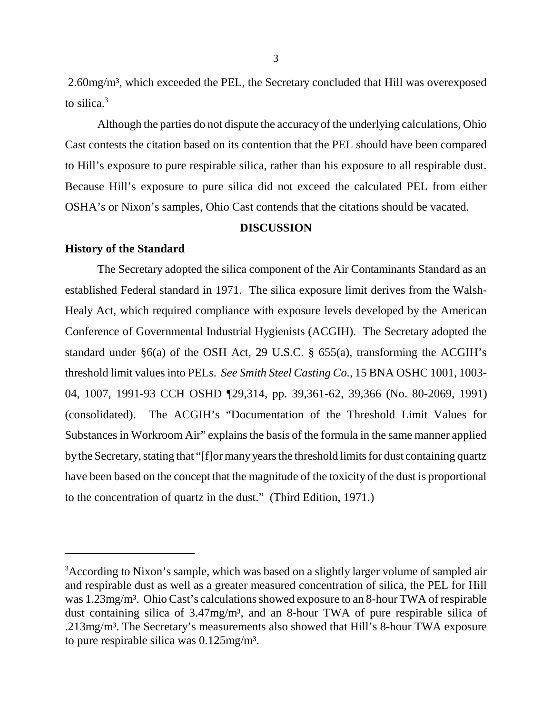2.60mg/m³, which exceeded the PEL, the Secretary concluded that Hill was overexposed to silica.3

Although the parties do not dispute the accuracy of the underlying calculations, Ohio Cast contests the citation based on its contention that the PEL should have been compared to Hill's exposure to pure respirable silica, rather than his exposure to all respirable dust. Because Hill's exposure to pure silica did not exceed the calculated PEL from either OSHA's or Nixon's samples, Ohio Cast contends that the citations should be vacated.

### **DISCUSSION**

### **History of the Standard**

The Secretary adopted the silica component of the Air Contaminants Standard as an established Federal standard in 1971. The silica exposure limit derives from the Walsh-Healy Act, which required compliance with exposure levels developed by the American Conference of Governmental Industrial Hygienists (ACGIH). The Secretary adopted the standard under §6(a) of the OSH Act, 29 U.S.C. § 655(a), transforming the ACGIH's threshold limit values into PELs. *See Smith Steel Casting Co.,* 15 BNA OSHC 1001, 1003- 04, 1007, 1991-93 CCH OSHD ¶29,314, pp. 39,361-62, 39,366 (No. 80-2069, 1991) (consolidated). The ACGIH's "Documentation of the Threshold Limit Values for Substances in Workroom Air" explains the basis of the formula in the same manner applied by the Secretary, stating that "[f]or many years the threshold limits for dust containing quartz have been based on the concept that the magnitude of the toxicity of the dust is proportional to the concentration of quartz in the dust." (Third Edition, 1971.)

<sup>&</sup>lt;sup>3</sup>According to Nixon's sample, which was based on a slightly larger volume of sampled air and respirable dust as well as a greater measured concentration of silica, the PEL for Hill was 1.23mg/m<sup>3</sup>. Ohio Cast's calculations showed exposure to an 8-hour TWA of respirable dust containing silica of 3.47mg/m<sup>3</sup>, and an 8-hour TWA of pure respirable silica of .213mg/m³. The Secretary's measurements also showed that Hill's 8-hour TWA exposure to pure respirable silica was 0.125mg/m³.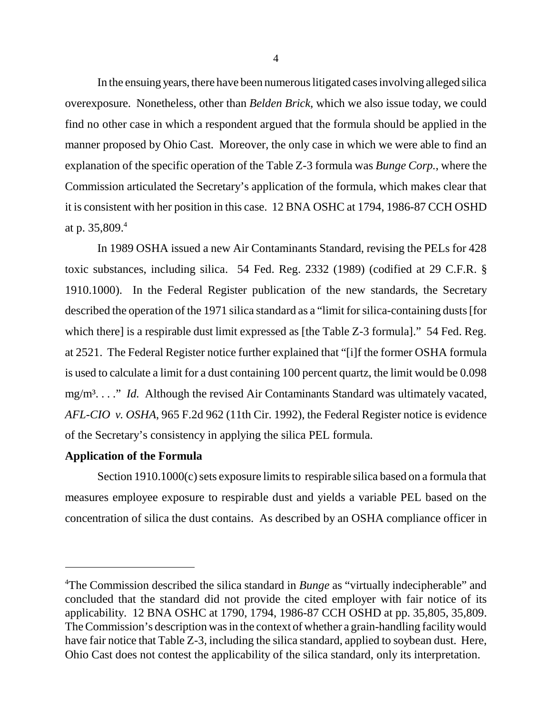In the ensuing years, there have been numerous litigated cases involving alleged silica overexposure. Nonetheless, other than *Belden Brick,* which we also issue today, we could find no other case in which a respondent argued that the formula should be applied in the manner proposed by Ohio Cast. Moreover, the only case in which we were able to find an explanation of the specific operation of the Table Z-3 formula was *Bunge Corp.*, where the Commission articulated the Secretary's application of the formula, which makes clear that it is consistent with her position in this case. 12 BNA OSHC at 1794, 1986-87 CCH OSHD at p. 35,809. $4$ 

In 1989 OSHA issued a new Air Contaminants Standard, revising the PELs for 428 toxic substances, including silica. 54 Fed. Reg. 2332 (1989) (codified at 29 C.F.R. § 1910.1000). In the Federal Register publication of the new standards, the Secretary described the operation of the 1971 silica standard as a "limit for silica-containing dusts [for which there] is a respirable dust limit expressed as [the Table Z-3 formula]." 54 Fed. Reg. at 2521. The Federal Register notice further explained that "[i]f the former OSHA formula is used to calculate a limit for a dust containing 100 percent quartz, the limit would be 0.098 mg/m<sup>3</sup>. . . ." *Id.* Although the revised Air Contaminants Standard was ultimately vacated, *AFL-CIO v. OSHA*, 965 F.2d 962 (11th Cir. 1992), the Federal Register notice is evidence of the Secretary's consistency in applying the silica PEL formula.

## **Application of the Formula**

Section 1910.1000(c) sets exposure limits to respirable silica based on a formula that measures employee exposure to respirable dust and yields a variable PEL based on the concentration of silica the dust contains. As described by an OSHA compliance officer in

<sup>&</sup>lt;sup>4</sup>The Commission described the silica standard in *Bunge* as "virtually indecipherable" and concluded that the standard did not provide the cited employer with fair notice of its applicability. 12 BNA OSHC at 1790, 1794, 1986-87 CCH OSHD at pp. 35,805, 35,809. The Commission's description was in the context of whether a grain-handling facility would have fair notice that Table Z-3, including the silica standard, applied to soybean dust. Here, Ohio Cast does not contest the applicability of the silica standard, only its interpretation.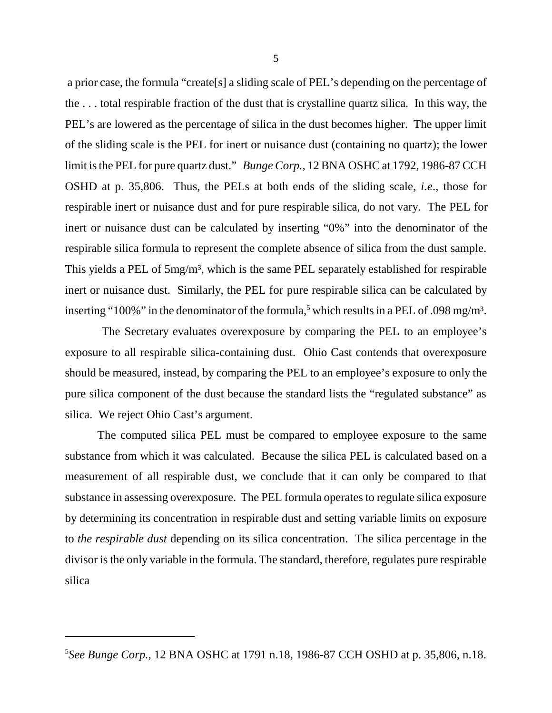a prior case, the formula "create[s] a sliding scale of PEL's depending on the percentage of the . . . total respirable fraction of the dust that is crystalline quartz silica. In this way, the PEL's are lowered as the percentage of silica in the dust becomes higher. The upper limit of the sliding scale is the PEL for inert or nuisance dust (containing no quartz); the lower limit is the PEL for pure quartz dust." *Bunge Corp.,* 12 BNA OSHC at 1792, 1986-87 CCH OSHD at p. 35,806. Thus, the PELs at both ends of the sliding scale, *i.e*., those for respirable inert or nuisance dust and for pure respirable silica, do not vary. The PEL for inert or nuisance dust can be calculated by inserting "0%" into the denominator of the respirable silica formula to represent the complete absence of silica from the dust sample. This yields a PEL of 5mg/m<sup>3</sup>, which is the same PEL separately established for respirable inert or nuisance dust. Similarly, the PEL for pure respirable silica can be calculated by inserting "100%" in the denominator of the formula,<sup>5</sup> which results in a PEL of .098 mg/m<sup>3</sup>.

 The Secretary evaluates overexposure by comparing the PEL to an employee's exposure to all respirable silica-containing dust. Ohio Cast contends that overexposure should be measured, instead, by comparing the PEL to an employee's exposure to only the pure silica component of the dust because the standard lists the "regulated substance" as silica. We reject Ohio Cast's argument.

The computed silica PEL must be compared to employee exposure to the same substance from which it was calculated. Because the silica PEL is calculated based on a measurement of all respirable dust, we conclude that it can only be compared to that substance in assessing overexposure. The PEL formula operates to regulate silica exposure by determining its concentration in respirable dust and setting variable limits on exposure to *the respirable dust* depending on its silica concentration. The silica percentage in the divisor is the only variable in the formula. The standard, therefore, regulates pure respirable silica

<sup>5</sup> *See Bunge Corp.,* 12 BNA OSHC at 1791 n.18, 1986-87 CCH OSHD at p. 35,806, n.18.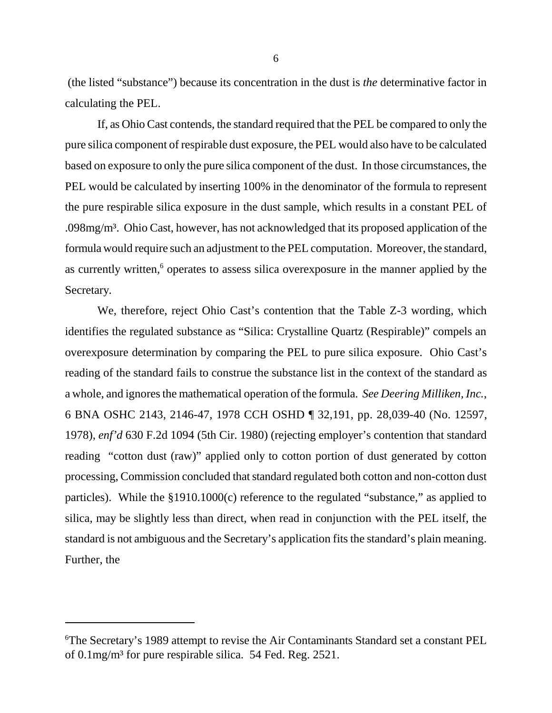(the listed "substance") because its concentration in the dust is *the* determinative factor in calculating the PEL.

If, as Ohio Cast contends, the standard required that the PEL be compared to only the pure silica component of respirable dust exposure, the PEL would also have to be calculated based on exposure to only the pure silica component of the dust. In those circumstances, the PEL would be calculated by inserting 100% in the denominator of the formula to represent the pure respirable silica exposure in the dust sample, which results in a constant PEL of .098mg/m³. Ohio Cast, however, has not acknowledged that its proposed application of the formula would require such an adjustment to the PEL computation. Moreover, the standard, as currently written,<sup>6</sup> operates to assess silica overexposure in the manner applied by the Secretary.

We, therefore, reject Ohio Cast's contention that the Table Z-3 wording, which identifies the regulated substance as "Silica: Crystalline Quartz (Respirable)" compels an overexposure determination by comparing the PEL to pure silica exposure. Ohio Cast's reading of the standard fails to construe the substance list in the context of the standard as a whole, and ignores the mathematical operation of the formula. *See Deering Milliken, Inc.*, 6 BNA OSHC 2143, 2146-47, 1978 CCH OSHD ¶ 32,191, pp. 28,039-40 (No. 12597, 1978), *enf'd* 630 F.2d 1094 (5th Cir. 1980) (rejecting employer's contention that standard reading "cotton dust (raw)" applied only to cotton portion of dust generated by cotton processing, Commission concluded that standard regulated both cotton and non-cotton dust particles). While the §1910.1000(c) reference to the regulated "substance," as applied to silica, may be slightly less than direct, when read in conjunction with the PEL itself, the standard is not ambiguous and the Secretary's application fits the standard's plain meaning. Further, the

<sup>6</sup> The Secretary's 1989 attempt to revise the Air Contaminants Standard set a constant PEL of 0.1mg/m³ for pure respirable silica. 54 Fed. Reg. 2521.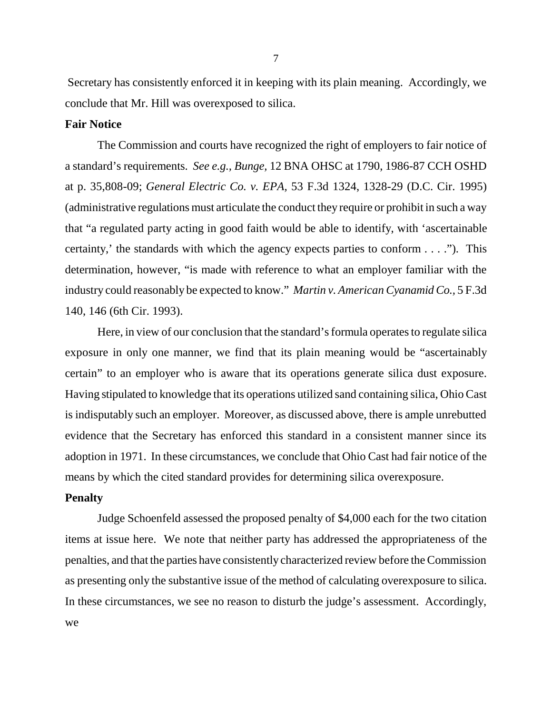Secretary has consistently enforced it in keeping with its plain meaning. Accordingly, we conclude that Mr. Hill was overexposed to silica.

### **Fair Notice**

The Commission and courts have recognized the right of employers to fair notice of a standard's requirements. *See e.g., Bunge,* 12 BNA OHSC at 1790, 1986-87 CCH OSHD at p. 35,808-09; *General Electric Co. v. EPA,* 53 F.3d 1324, 1328-29 (D.C. Cir. 1995) (administrative regulations must articulate the conduct they require or prohibit in such a way that "a regulated party acting in good faith would be able to identify, with 'ascertainable certainty,' the standards with which the agency expects parties to conform . . . ."). This determination, however, "is made with reference to what an employer familiar with the industry could reasonably be expected to know." *Martin v. American Cyanamid Co.,* 5 F.3d 140, 146 (6th Cir. 1993).

Here, in view of our conclusion that the standard's formula operates to regulate silica exposure in only one manner, we find that its plain meaning would be "ascertainably certain" to an employer who is aware that its operations generate silica dust exposure. Having stipulated to knowledge that its operations utilized sand containing silica, Ohio Cast is indisputably such an employer. Moreover, as discussed above, there is ample unrebutted evidence that the Secretary has enforced this standard in a consistent manner since its adoption in 1971. In these circumstances, we conclude that Ohio Cast had fair notice of the means by which the cited standard provides for determining silica overexposure.

#### **Penalty**

Judge Schoenfeld assessed the proposed penalty of \$4,000 each for the two citation items at issue here. We note that neither party has addressed the appropriateness of the penalties, and that the parties have consistently characterized review before the Commission as presenting only the substantive issue of the method of calculating overexposure to silica. In these circumstances, we see no reason to disturb the judge's assessment. Accordingly, we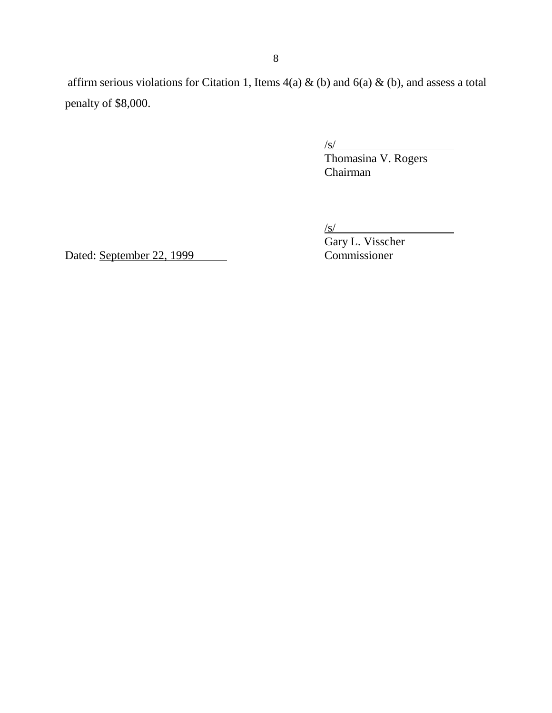affirm serious violations for Citation 1, Items  $4(a) \& (b)$  and  $6(a) \& (b)$ , and assess a total penalty of \$8,000.

 $\sqrt{s/}$ 

Thomasina V. Rogers Chairman

 $\sqrt{s}$ /

Dated: September 22, 1999

Gary L. Visscher<br>Commissioner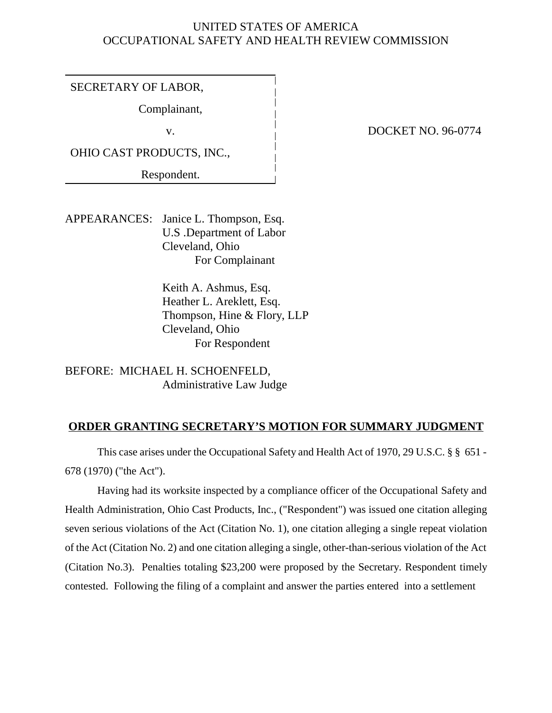# UNITED STATES OF AMERICA OCCUPATIONAL SAFETY AND HEALTH REVIEW COMMISSION

SECRETARY OF LABOR,

Complainant,

OHIO CAST PRODUCTS, INC.,

Respondent.

# v. DOCKET NO. 96-0774

APPEARANCES: Janice L. Thompson, Esq. U.S .Department of Labor Cleveland, Ohio For Complainant

> Keith A. Ashmus, Esq. Heather L. Areklett, Esq. Thompson, Hine & Flory, LLP Cleveland, Ohio For Respondent

BEFORE: MICHAEL H. SCHOENFELD, Administrative Law Judge

# **ORDER GRANTING SECRETARY'S MOTION FOR SUMMARY JUDGMENT**

This case arises under the Occupational Safety and Health Act of 1970, 29 U.S.C. § § 651 - 678 (1970) ("the Act").

Having had its worksite inspected by a compliance officer of the Occupational Safety and Health Administration, Ohio Cast Products, Inc., ("Respondent") was issued one citation alleging seven serious violations of the Act (Citation No. 1), one citation alleging a single repeat violation of the Act (Citation No. 2) and one citation alleging a single, other-than-serious violation of the Act (Citation No.3). Penalties totaling \$23,200 were proposed by the Secretary. Respondent timely contested. Following the filing of a complaint and answer the parties entered into a settlement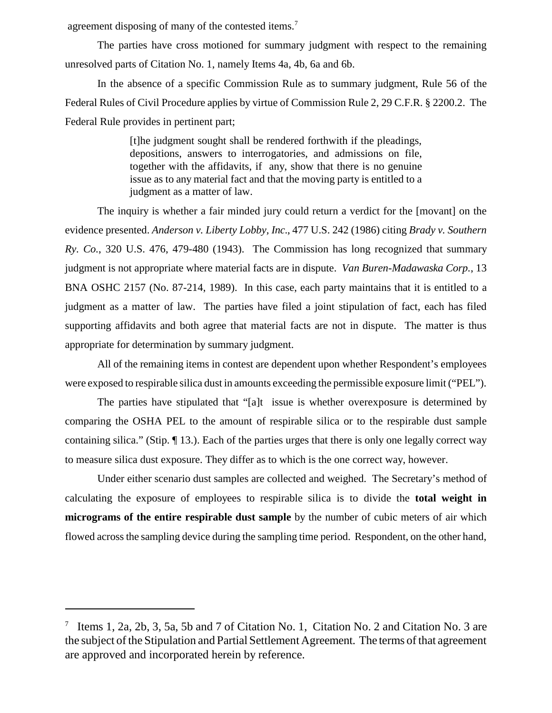agreement disposing of many of the contested items.<sup>7</sup>

The parties have cross motioned for summary judgment with respect to the remaining unresolved parts of Citation No. 1, namely Items 4a, 4b, 6a and 6b.

In the absence of a specific Commission Rule as to summary judgment, Rule 56 of the Federal Rules of Civil Procedure applies by virtue of Commission Rule 2, 29 C.F.R. § 2200.2. The Federal Rule provides in pertinent part;

> [t]he judgment sought shall be rendered forthwith if the pleadings, depositions, answers to interrogatories, and admissions on file, together with the affidavits, if any, show that there is no genuine issue as to any material fact and that the moving party is entitled to a judgment as a matter of law.

The inquiry is whether a fair minded jury could return a verdict for the [movant] on the evidence presented. *Anderson v. Liberty Lobby, Inc*., 477 U.S. 242 (1986) citing *Brady v. Southern Ry. Co.*, 320 U.S. 476, 479-480 (1943). The Commission has long recognized that summary judgment is not appropriate where material facts are in dispute. *Van Buren-Madawaska Corp.*, 13 BNA OSHC 2157 (No. 87-214, 1989). In this case, each party maintains that it is entitled to a judgment as a matter of law. The parties have filed a joint stipulation of fact, each has filed supporting affidavits and both agree that material facts are not in dispute. The matter is thus appropriate for determination by summary judgment.

All of the remaining items in contest are dependent upon whether Respondent's employees were exposed to respirable silica dust in amounts exceeding the permissible exposure limit ("PEL").

The parties have stipulated that "[a]t issue is whether overexposure is determined by comparing the OSHA PEL to the amount of respirable silica or to the respirable dust sample containing silica." (Stip. ¶ 13.). Each of the parties urges that there is only one legally correct way to measure silica dust exposure. They differ as to which is the one correct way, however.

Under either scenario dust samples are collected and weighed. The Secretary's method of calculating the exposure of employees to respirable silica is to divide the **total weight in micrograms of the entire respirable dust sample** by the number of cubic meters of air which flowed across the sampling device during the sampling time period. Respondent, on the other hand,

<sup>&</sup>lt;sup>7</sup> Items 1, 2a, 2b, 3, 5a, 5b and 7 of Citation No. 1, Citation No. 2 and Citation No. 3 are the subject of the Stipulation and Partial Settlement Agreement. The terms of that agreement are approved and incorporated herein by reference.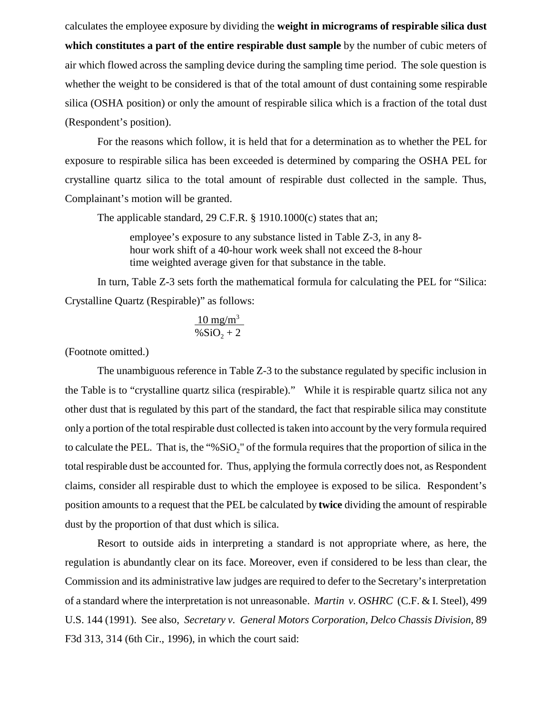calculates the employee exposure by dividing the **weight in micrograms of respirable silica dust which constitutes a part of the entire respirable dust sample** by the number of cubic meters of air which flowed across the sampling device during the sampling time period. The sole question is whether the weight to be considered is that of the total amount of dust containing some respirable silica (OSHA position) or only the amount of respirable silica which is a fraction of the total dust (Respondent's position).

For the reasons which follow, it is held that for a determination as to whether the PEL for exposure to respirable silica has been exceeded is determined by comparing the OSHA PEL for crystalline quartz silica to the total amount of respirable dust collected in the sample. Thus, Complainant's motion will be granted.

The applicable standard, 29 C.F.R. § 1910.1000(c) states that an;

employee's exposure to any substance listed in Table Z-3, in any 8 hour work shift of a 40-hour work week shall not exceed the 8-hour time weighted average given for that substance in the table.

In turn, Table Z-3 sets forth the mathematical formula for calculating the PEL for "Silica: Crystalline Quartz (Respirable)" as follows:

$$
\frac{10 \text{ mg/m}^3}{\% \text{SiO}_2 + 2}
$$

(Footnote omitted.)

The unambiguous reference in Table Z-3 to the substance regulated by specific inclusion in the Table is to "crystalline quartz silica (respirable)." While it is respirable quartz silica not any other dust that is regulated by this part of the standard, the fact that respirable silica may constitute only a portion of the total respirable dust collected is taken into account by the very formula required to calculate the PEL. That is, the "% $SiO<sub>2</sub>$ " of the formula requires that the proportion of silica in the total respirable dust be accounted for. Thus, applying the formula correctly does not, as Respondent claims, consider all respirable dust to which the employee is exposed to be silica. Respondent's position amounts to a request that the PEL be calculated by **twice** dividing the amount of respirable dust by the proportion of that dust which is silica.

Resort to outside aids in interpreting a standard is not appropriate where, as here, the regulation is abundantly clear on its face. Moreover, even if considered to be less than clear, the Commission and its administrative law judges are required to defer to the Secretary's interpretation of a standard where the interpretation is not unreasonable. *Martin v. OSHRC* (C.F. & I. Steel), 499 U.S. 144 (1991). See also, *Secretary v. General Motors Corporation, Delco Chassis Division,* 89 F3d 313, 314 (6th Cir., 1996), in which the court said: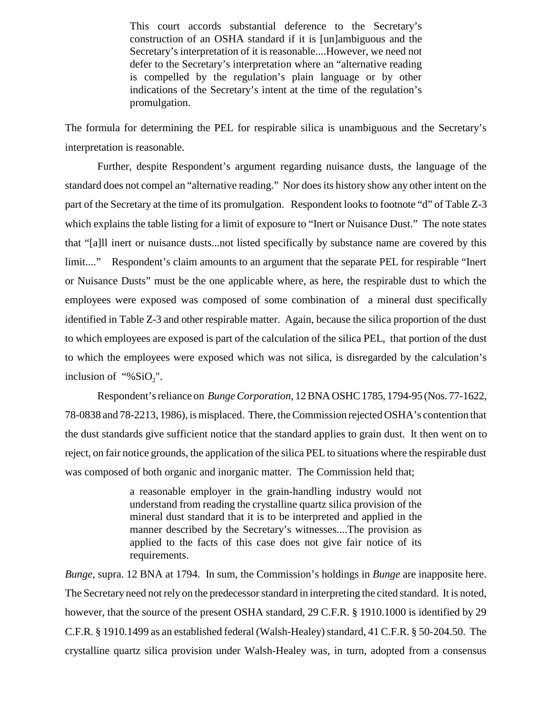This court accords substantial deference to the Secretary's construction of an OSHA standard if it is [un]ambiguous and the Secretary's interpretation of it is reasonable....However, we need not defer to the Secretary's interpretation where an "alternative reading is compelled by the regulation's plain language or by other indications of the Secretary's intent at the time of the regulation's promulgation.

The formula for determining the PEL for respirable silica is unambiguous and the Secretary's interpretation is reasonable.

Further, despite Respondent's argument regarding nuisance dusts, the language of the standard does not compel an "alternative reading." Nor does its history show any other intent on the part of the Secretary at the time of its promulgation. Respondent looks to footnote "d" of Table Z-3 which explains the table listing for a limit of exposure to "Inert or Nuisance Dust." The note states that "[a]ll inert or nuisance dusts...not listed specifically by substance name are covered by this limit...." Respondent's claim amounts to an argument that the separate PEL for respirable "Inert or Nuisance Dusts" must be the one applicable where, as here, the respirable dust to which the employees were exposed was composed of some combination of a mineral dust specifically identified in Table Z-3 and other respirable matter. Again, because the silica proportion of the dust to which employees are exposed is part of the calculation of the silica PEL, that portion of the dust to which the employees were exposed which was not silica, is disregarded by the calculation's inclusion of "% $SiO<sub>2</sub>$ ".

Respondent's reliance on *Bunge Corporation,* 12 BNA OSHC 1785, 1794-95 (Nos. 77-1622, 78-0838 and 78-2213, 1986), is misplaced. There, the Commission rejected OSHA's contention that the dust standards give sufficient notice that the standard applies to grain dust. It then went on to reject, on fair notice grounds, the application of the silica PEL to situations where the respirable dust was composed of both organic and inorganic matter. The Commission held that;

> a reasonable employer in the grain-handling industry would not understand from reading the crystalline quartz silica provision of the mineral dust standard that it is to be interpreted and applied in the manner described by the Secretary's witnesses....The provision as applied to the facts of this case does not give fair notice of its requirements.

*Bunge,* supra. 12 BNA at 1794. In sum, the Commission's holdings in *Bunge* are inapposite here. The Secretary need not rely on the predecessor standard in interpreting the cited standard. It is noted, however, that the source of the present OSHA standard, 29 C.F.R. § 1910.1000 is identified by 29 C.F.R. § 1910.1499 as an established federal (Walsh-Healey) standard, 41 C.F.R. § 50-204.50. The crystalline quartz silica provision under Walsh-Healey was, in turn, adopted from a consensus